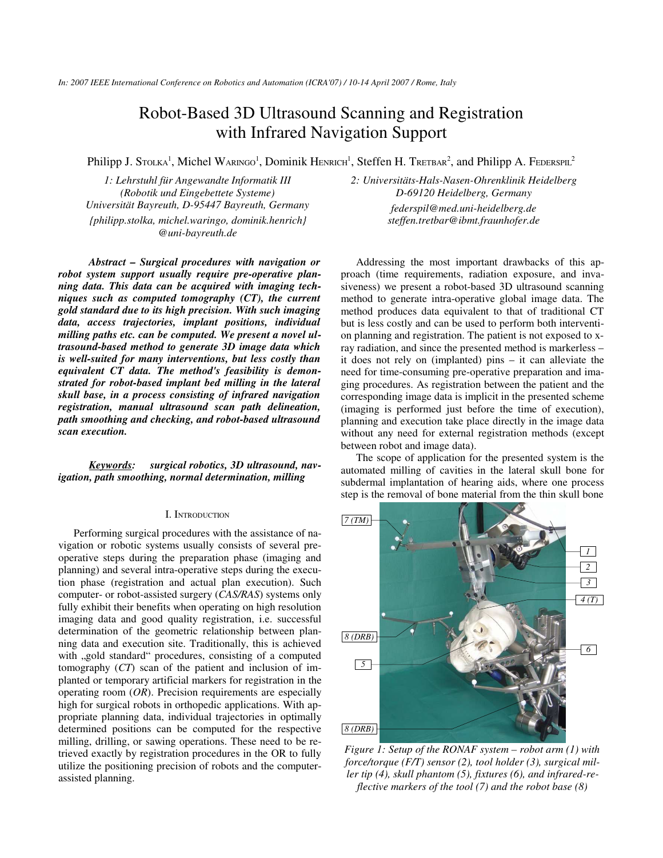# Robot-Based 3D Ultrasound Scanning and Registration with Infrared Navigation Support

Philipp J. Stolka<sup>1</sup>, Michel WARINGO<sup>1</sup>, Dominik HENRICH<sup>1</sup>, Steffen H. TRETBAR<sup>2</sup>, and Philipp A. FEDERSPIL<sup>2</sup>

*1: Lehrstuhl für Angewandte Informatik III (Robotik und Eingebettete Systeme) Universität Bayreuth, D-95447 Bayreuth, Germany {philipp.stolka, michel.waringo, dominik.henrich} @uni-bayreuth.de*

*Abstract – Surgical procedures with navigation or robot system support usually require pre-operative planning data. This data can be acquired with imaging techniques such as computed tomography (CT), the current gold standard due to its high precision. With such imaging data, access trajectories, implant positions, individual milling paths etc. can be computed. We present a novel ultrasound-based method to generate 3D image data which is well-suited for many interventions, but less costly than equivalent CT data. The method's feasibility is demonstrated for robot-based implant bed milling in the lateral skull base, in a process consisting of infrared navigation registration, manual ultrasound scan path delineation, path smoothing and checking, and robot-based ultrasound scan execution.*

*Keywords: surgical robotics, 3D ultrasound, navigation, path smoothing, normal determination, milling*

#### I. INTRODUCTION

Performing surgical procedures with the assistance of navigation or robotic systems usually consists of several preoperative steps during the preparation phase (imaging and planning) and several intra-operative steps during the execution phase (registration and actual plan execution). Such computer- or robot-assisted surgery (*CAS/RAS*) systems only fully exhibit their benefits when operating on high resolution imaging data and good quality registration, i.e. successful determination of the geometric relationship between planning data and execution site. Traditionally, this is achieved with "gold standard" procedures, consisting of a computed tomography (*CT*) scan of the patient and inclusion of implanted or temporary artificial markers for registration in the operating room (*OR*). Precision requirements are especially high for surgical robots in orthopedic applications. With appropriate planning data, individual trajectories in optimally determined positions can be computed for the respective milling, drilling, or sawing operations. These need to be retrieved exactly by registration procedures in the OR to fully utilize the positioning precision of robots and the computerassisted planning.

*2: Universitäts-Hals-Nasen-Ohrenklinik Heidelberg D-69120 Heidelberg, Germany federspil@med.uni-heidelberg.de steffen.tretbar@ibmt.fraunhofer.de*

Addressing the most important drawbacks of this approach (time requirements, radiation exposure, and invasiveness) we present a robot-based 3D ultrasound scanning method to generate intra-operative global image data. The method produces data equivalent to that of traditional CT but is less costly and can be used to perform both intervention planning and registration. The patient is not exposed to xray radiation, and since the presented method is markerless – it does not rely on (implanted) pins – it can alleviate the need for time-consuming pre-operative preparation and imaging procedures. As registration between the patient and the corresponding image data is implicit in the presented scheme (imaging is performed just before the time of execution), planning and execution take place directly in the image data without any need for external registration methods (except between robot and image data).

The scope of application for the presented system is the automated milling of cavities in the lateral skull bone for subdermal implantation of hearing aids, where one process step is the removal of bone material from the thin skull bone



*Figure 1: Setup of the RONAF system – robot arm (1) with force/torque (F/T) sensor (2), tool holder (3), surgical miller tip (4), skull phantom (5), fixtures (6), and infrared-reflective markers of the tool (7) and the robot base (8)*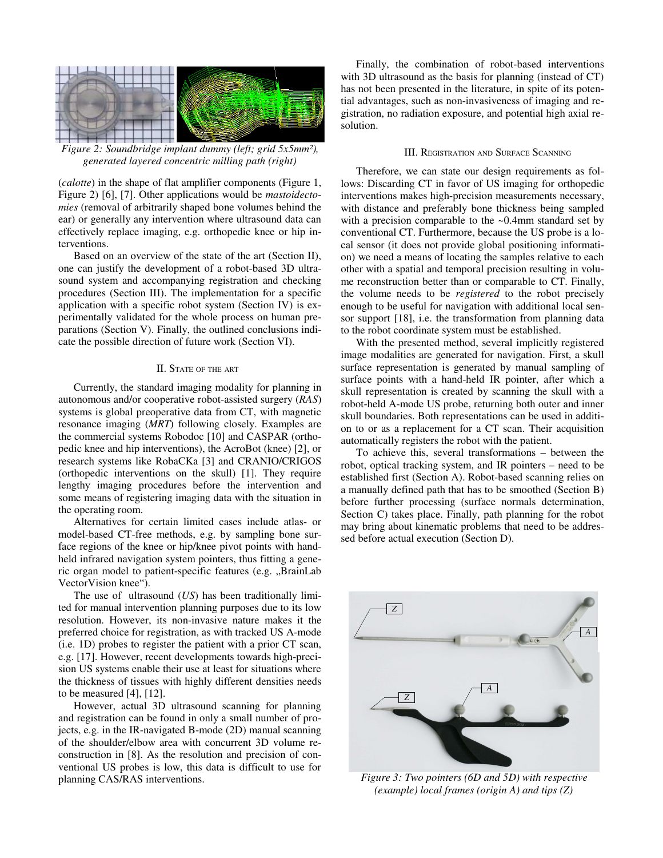

*Figure 2: Soundbridge implant dummy (left; grid 5x5mm²), generated layered concentric milling path (right)*

(*calotte*) in the shape of flat amplifier components (Figure 1, Figure 2) [6], [7]. Other applications would be *mastoidectomies* (removal of arbitrarily shaped bone volumes behind the ear) or generally any intervention where ultrasound data can effectively replace imaging, e.g. orthopedic knee or hip interventions.

Based on an overview of the state of the art (Section II), one can justify the development of a robot-based 3D ultrasound system and accompanying registration and checking procedures (Section III). The implementation for a specific application with a specific robot system (Section IV) is experimentally validated for the whole process on human preparations (Section V). Finally, the outlined conclusions indicate the possible direction of future work (Section VI).

## II. STATE OF THE ART

Currently, the standard imaging modality for planning in autonomous and/or cooperative robot-assisted surgery (*RAS*) systems is global preoperative data from CT, with magnetic resonance imaging (*MRT*) following closely. Examples are the commercial systems Robodoc [10] and CASPAR (orthopedic knee and hip interventions), the AcroBot (knee) [2], or research systems like RobaCKa [3] and CRANIO/CRIGOS (orthopedic interventions on the skull) [1]. They require lengthy imaging procedures before the intervention and some means of registering imaging data with the situation in the operating room.

Alternatives for certain limited cases include atlas- or model-based CT-free methods, e.g. by sampling bone surface regions of the knee or hip/knee pivot points with handheld infrared navigation system pointers, thus fitting a generic organ model to patient-specific features (e.g. "BrainLab VectorVision knee").

The use of ultrasound (*US*) has been traditionally limited for manual intervention planning purposes due to its low resolution. However, its non-invasive nature makes it the preferred choice for registration, as with tracked US A-mode (i.e. 1D) probes to register the patient with a prior CT scan, e.g. [17]. However, recent developments towards high-precision US systems enable their use at least for situations where the thickness of tissues with highly different densities needs to be measured [4], [12].

However, actual 3D ultrasound scanning for planning and registration can be found in only a small number of projects, e.g. in the IR-navigated B-mode (2D) manual scanning of the shoulder/elbow area with concurrent 3D volume reconstruction in [8]. As the resolution and precision of conventional US probes is low, this data is difficult to use for planning CAS/RAS interventions.

Finally, the combination of robot-based interventions with 3D ultrasound as the basis for planning (instead of CT) has not been presented in the literature, in spite of its potential advantages, such as non-invasiveness of imaging and registration, no radiation exposure, and potential high axial resolution.

### III. REGISTRATION AND SURFACE SCANNING

Therefore, we can state our design requirements as follows: Discarding CT in favor of US imaging for orthopedic interventions makes high-precision measurements necessary, with distance and preferably bone thickness being sampled with a precision comparable to the ~0.4mm standard set by conventional CT. Furthermore, because the US probe is a local sensor (it does not provide global positioning information) we need a means of locating the samples relative to each other with a spatial and temporal precision resulting in volume reconstruction better than or comparable to CT. Finally, the volume needs to be *registered* to the robot precisely enough to be useful for navigation with additional local sensor support [18], i.e. the transformation from planning data to the robot coordinate system must be established.

With the presented method, several implicitly registered image modalities are generated for navigation. First, a skull surface representation is generated by manual sampling of surface points with a hand-held IR pointer, after which a skull representation is created by scanning the skull with a robot-held A-mode US probe, returning both outer and inner skull boundaries. Both representations can be used in addition to or as a replacement for a CT scan. Their acquisition automatically registers the robot with the patient.

To achieve this, several transformations – between the robot, optical tracking system, and IR pointers – need to be established first (Section A). Robot-based scanning relies on a manually defined path that has to be smoothed (Section B) before further processing (surface normals determination, Section C) takes place. Finally, path planning for the robot may bring about kinematic problems that need to be addressed before actual execution (Section D).



*Figure 3: Two pointers (6D and 5D) with respective (example) local frames (origin A) and tips (Z)*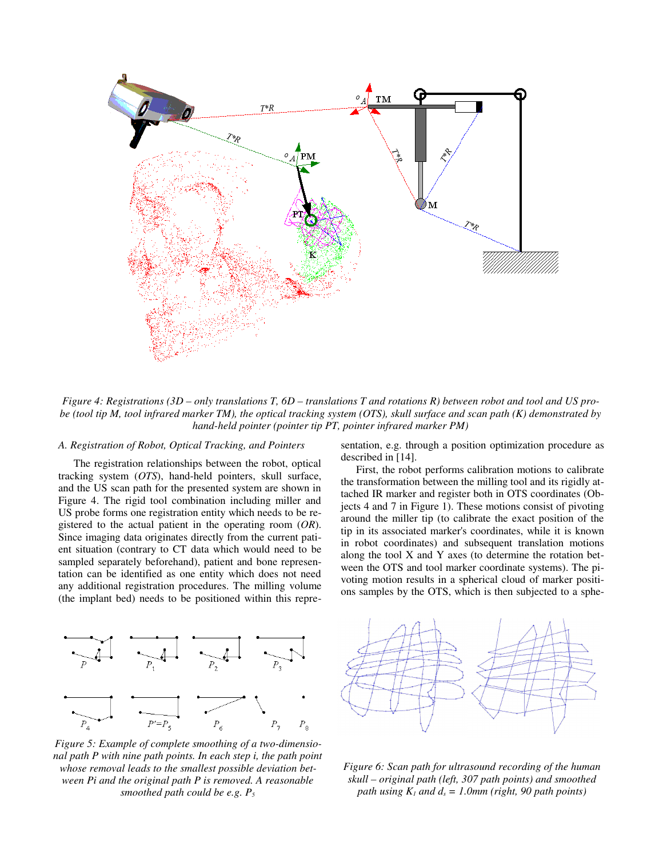

*Figure 4: Registrations (3D – only translations T, 6D – translations T and rotations R) between robot and tool and US probe (tool tip M, tool infrared marker TM), the optical tracking system (OTS), skull surface and scan path (K) demonstrated by hand-held pointer (pointer tip PT, pointer infrared marker PM)*

## *A. Registration of Robot, Optical Tracking, and Pointers*

The registration relationships between the robot, optical tracking system (*OTS*), hand-held pointers, skull surface, and the US scan path for the presented system are shown in Figure 4. The rigid tool combination including miller and US probe forms one registration entity which needs to be registered to the actual patient in the operating room (*OR*). Since imaging data originates directly from the current patient situation (contrary to CT data which would need to be sampled separately beforehand), patient and bone representation can be identified as one entity which does not need any additional registration procedures. The milling volume (the implant bed) needs to be positioned within this representation, e.g. through a position optimization procedure as described in [14].

First, the robot performs calibration motions to calibrate the transformation between the milling tool and its rigidly attached IR marker and register both in OTS coordinates (Objects 4 and 7 in Figure 1). These motions consist of pivoting around the miller tip (to calibrate the exact position of the tip in its associated marker's coordinates, while it is known in robot coordinates) and subsequent translation motions along the tool X and Y axes (to determine the rotation between the OTS and tool marker coordinate systems). The pivoting motion results in a spherical cloud of marker positions samples by the OTS, which is then subjected to a sphe-



*Figure 5: Example of complete smoothing of a two-dimensional path P with nine path points. In each step i, the path point whose removal leads to the smallest possible deviation between Pi and the original path P is removed. A reasonable smoothed path could be e.g. P<sup>5</sup>*



*Figure 6: Scan path for ultrasound recording of the human skull – original path (left, 307 path points) and smoothed path using*  $K_1$  *and*  $d_s = 1.0$ *mm* (*right,* 90 *path points*)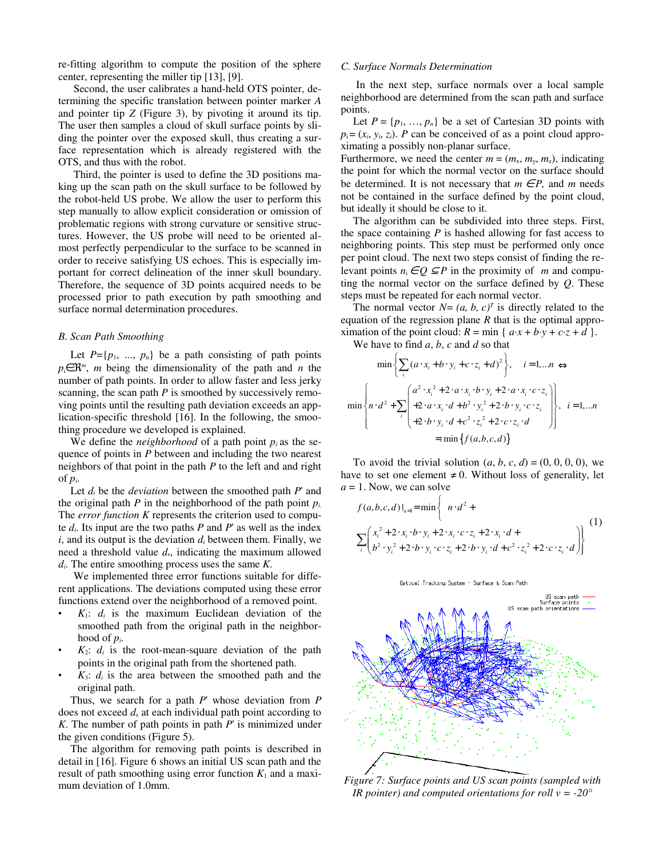re-fitting algorithm to compute the position of the sphere center, representing the miller tip [13], [9].

Second, the user calibrates a hand-held OTS pointer, determining the specific translation between pointer marker *A* and pointer tip *Z* (Figure 3), by pivoting it around its tip. The user then samples a cloud of skull surface points by sliding the pointer over the exposed skull, thus creating a surface representation which is already registered with the OTS, and thus with the robot.

Third, the pointer is used to define the 3D positions making up the scan path on the skull surface to be followed by the robot-held US probe. We allow the user to perform this step manually to allow explicit consideration or omission of problematic regions with strong curvature or sensitive structures. However, the US probe will need to be oriented almost perfectly perpendicular to the surface to be scanned in order to receive satisfying US echoes. This is especially important for correct delineation of the inner skull boundary. Therefore, the sequence of 3D points acquired needs to be processed prior to path execution by path smoothing and surface normal determination procedures.

## *B. Scan Path Smoothing*

Let  $P = \{p_1, ..., p_n\}$  be a path consisting of path points *p*i∈ℜ*<sup>m</sup>* , *m* being the dimensionality of the path and *n* the number of path points. In order to allow faster and less jerky scanning, the scan path *P* is smoothed by successively removing points until the resulting path deviation exceeds an application-specific threshold [16]. In the following, the smoothing procedure we developed is explained.

We define the *neighborhood* of a path point  $p_i$  as the sequence of points in *P* between and including the two nearest neighbors of that point in the path *P* to the left and and right of  $p_i$ .

Let *d<sup>i</sup>* be the *deviation* between the smoothed path *P*' and the original path *P* in the neighborhood of the path point  $p_i$ . The *error function K* represents the criterion used to compute  $d_i$ . Its input are the two paths *P* and *P*' as well as the index *i*, and its output is the deviation *d<sup>i</sup>* between them. Finally, we need a threshold value  $d_s$ , indicating the maximum allowed *di*. The entire smoothing process uses the same *K*.

We implemented three error functions suitable for different applications. The deviations computed using these error functions extend over the neighborhood of a removed point.

- $K_1$ :  $d_i$  is the maximum Euclidean deviation of the smoothed path from the original path in the neighborhood of  $p_i$ .
- $K_2$ :  $d_i$  is the root-mean-square deviation of the path points in the original path from the shortened path.
- $K_3$ :  $d_i$  is the area between the smoothed path and the original path.

Thus, we search for a path *P*' whose deviation from *P* does not exceed  $d_s$  at each individual path point according to *K*. The number of path points in path *P*' is minimized under the given conditions (Figure 5).

The algorithm for removing path points is described in detail in [16]. Figure 6 shows an initial US scan path and the result of path smoothing using error function  $K_1$  and a maximum deviation of 1.0mm.

## *C. Surface Normals Determination*

In the next step, surface normals over a local sample neighborhood are determined from the scan path and surface points.

Let  $P = \{p_1, ..., p_n\}$  be a set of Cartesian 3D points with  $p_i = (x_i, y_i, z_i)$ . *P* can be conceived of as a point cloud approximating a possibly non-planar surface.

Furthermore, we need the center  $m = (m_x, m_y, m_z)$ , indicating the point for which the normal vector on the surface should be determined. It is not necessary that  $m \in P$ , and  $m$  needs not be contained in the surface defined by the point cloud, but ideally it should be close to it.

The algorithm can be subdivided into three steps. First, the space containing *P* is hashed allowing for fast access to neighboring points. This step must be performed only once per point cloud. The next two steps consist of finding the relevant points  $n_i \in Q \subseteq P$  in the proximity of *m* and computing the normal vector on the surface defined by *Q*. These steps must be repeated for each normal vector.

The normal vector  $N = (a, b, c)^T$  is directly related to the equation of the regression plane *R* that is the optimal approximation of the point cloud:  $R = \min \{a \cdot x + b \cdot y + c \cdot z + d \}.$ 

We have to find *a*, *b*, *c* and *d* so that

$$
\min \left\{ \sum_{i} (a \cdot x_{i} + b \cdot y_{i} + c \cdot z_{i} + d)^{2} \right\}, \quad i = 1,...n \iff
$$
\n
$$
\min \left\{ n \cdot d^{2} + \sum_{i} \left( \frac{a^{2} \cdot x_{i}^{2} + 2 \cdot a \cdot x_{i} \cdot b \cdot y_{i} + 2 \cdot a \cdot x_{i} \cdot c \cdot z_{i}}{+2 \cdot b \cdot y_{i} \cdot d + b^{2} \cdot y_{i}^{2} + 2 \cdot b \cdot y_{i} \cdot c \cdot z_{i}} \right) \right\}, \quad i = 1,...n
$$
\n
$$
= \min \left\{ f(a,b,c,d) \right\}
$$

To avoid the trivial solution  $(a, b, c, d) = (0, 0, 0, 0)$ , we have to set one element  $\neq 0$ . Without loss of generality, let  $a = 1$ . Now, we can solve

$$
f(a,b,c,d)|_{a=1} = \min \left\{ n \cdot d^2 + \\ \sum_{i} \left( x_i^2 + 2 \cdot x_i \cdot b \cdot y_i + 2 \cdot x_i \cdot c \cdot z_i + 2 \cdot x_i \cdot d + \\ b^2 \cdot y_i^2 + 2 \cdot b \cdot y_i \cdot c \cdot z_i + 2 \cdot b \cdot y_i \cdot d + c^2 \cdot z_i^2 + 2 \cdot c \cdot z_i \cdot d \right) \right\} (1)
$$





*Figure 7: Surface points and US scan points (sampled with IR pointer) and computed orientations for roll v = -20°*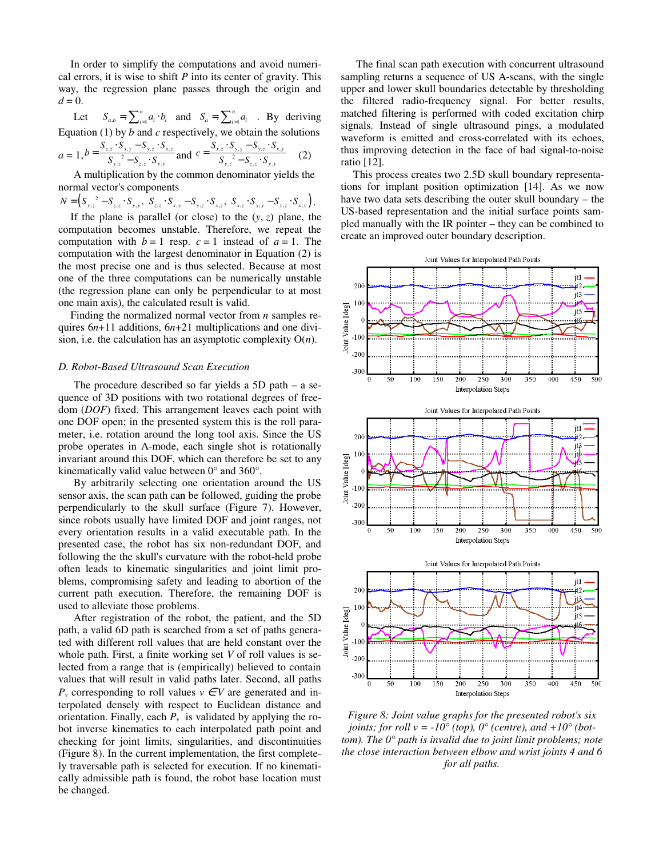In order to simplify the computations and avoid numerical errors, it is wise to shift *P* into its center of gravity. This way, the regression plane passes through the origin and  $d = 0$ .

Let  $S_{a,b} =: \sum_{i=1}^{n}$  $S_{a,b} =: \sum_{i=1}^{n} a_i \cdot b_i$  and  $S_a =: \sum_{i=1}^{n} a_i$  $S_a = \sum_{i=1}^n a_i$  . By deriving Equation (1) by *b* and *c* respectively, we obtain the solutions

$$
a = 1, b = \frac{S_{z,z} \cdot S_{x,y} - S_{y,z} \cdot S_{x,z}}{S_{y,z}^2 - S_{z,z} \cdot S_{y,y}} \text{ and } c = \frac{S_{x,z} \cdot S_{y,y} - S_{y,z} \cdot S_{x,y}}{S_{y,z}^2 - S_{z,z} \cdot S_{y,y}}
$$
(2)

A multiplication by the common denominator yields the normal vector's components

$$
N = \left(S_{y,z}^2 - S_{z,z} \cdot S_{y,y}, S_{z,z} \cdot S_{x,y} - S_{y,z} \cdot S_{x,z}, S_{x,z} \cdot S_{y,y} - S_{y,z} \cdot S_{x,y}\right).
$$

If the plane is parallel (or close) to the  $(y, z)$  plane, the computation becomes unstable. Therefore, we repeat the computation with  $b = 1$  resp.  $c = 1$  instead of  $a = 1$ . The computation with the largest denominator in Equation (2) is the most precise one and is thus selected. Because at most one of the three computations can be numerically unstable (the regression plane can only be perpendicular to at most one main axis), the calculated result is valid.

Finding the normalized normal vector from *n* samples requires 6*n*+11 additions, 6*n*+21 multiplications and one division, i.e. the calculation has an asymptotic complexity O(*n*).

# *D. Robot-Based Ultrasound Scan Execution*

The procedure described so far yields a 5D path – a sequence of 3D positions with two rotational degrees of freedom (*DOF*) fixed. This arrangement leaves each point with one DOF open; in the presented system this is the roll parameter, i.e. rotation around the long tool axis. Since the US probe operates in A-mode, each single shot is rotationally invariant around this DOF, which can therefore be set to any kinematically valid value between 0° and 360°.

By arbitrarily selecting one orientation around the US sensor axis, the scan path can be followed, guiding the probe perpendicularly to the skull surface (Figure 7). However, since robots usually have limited DOF and joint ranges, not every orientation results in a valid executable path. In the presented case, the robot has six non-redundant DOF, and following the the skull's curvature with the robot-held probe often leads to kinematic singularities and joint limit problems, compromising safety and leading to abortion of the current path execution. Therefore, the remaining DOF is used to alleviate those problems.

After registration of the robot, the patient, and the 5D path, a valid 6D path is searched from a set of paths generated with different roll values that are held constant over the whole path. First, a finite working set *V* of roll values is selected from a range that is (empirically) believed to contain values that will result in valid paths later. Second, all paths  $P_v$  corresponding to roll values  $v \in V$  are generated and interpolated densely with respect to Euclidean distance and orientation. Finally, each  $P_v$  is validated by applying the robot inverse kinematics to each interpolated path point and checking for joint limits, singularities, and discontinuities (Figure 8). In the current implementation, the first completely traversable path is selected for execution. If no kinematically admissible path is found, the robot base location must be changed.

The final scan path execution with concurrent ultrasound sampling returns a sequence of US A-scans, with the single upper and lower skull boundaries detectable by thresholding the filtered radio-frequency signal. For better results, matched filtering is performed with coded excitation chirp signals. Instead of single ultrasound pings, a modulated waveform is emitted and cross-correlated with its echoes, thus improving detection in the face of bad signal-to-noise ratio [12].

This process creates two 2.5D skull boundary representations for implant position optimization [14]. As we now have two data sets describing the outer skull boundary – the US-based representation and the initial surface points sampled manually with the IR pointer – they can be combined to create an improved outer boundary description.





*Figure 8: Joint value graphs for the presented robot's six joints; for roll*  $v = -10^{\circ}$  *(top),*  $0^{\circ}$  *(centre), and*  $+10^{\circ}$  *(bottom). The 0° path is invalid due to joint limit problems; note the close interaction between elbow and wrist joints 4 and 6 for all paths.*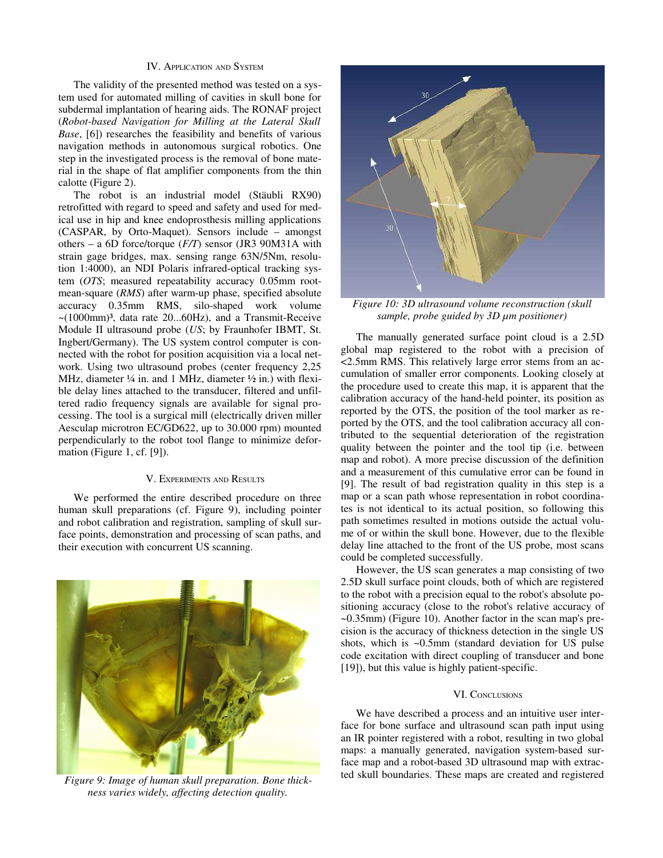# IV. APPLICATION AND SYSTEM

The validity of the presented method was tested on a system used for automated milling of cavities in skull bone for subdermal implantation of hearing aids. The RONAF project (*Robot-based Navigation for Milling at the Lateral Skull Base*, [6]) researches the feasibility and benefits of various navigation methods in autonomous surgical robotics. One step in the investigated process is the removal of bone material in the shape of flat amplifier components from the thin calotte (Figure 2).

The robot is an industrial model (Stäubli RX90) retrofitted with regard to speed and safety and used for medical use in hip and knee endoprosthesis milling applications (CASPAR, by Orto-Maquet). Sensors include – amongst others – a 6D force/torque (*F/T*) sensor (JR3 90M31A with strain gage bridges, max. sensing range 63N/5Nm, resolution 1:4000), an NDI Polaris infrared-optical tracking system (*OTS*; measured repeatability accuracy 0.05mm rootmean-square (*RMS*) after warm-up phase, specified absolute accuracy 0.35mm RMS, silo-shaped work volume  $\sim$ (1000mm)<sup>3</sup>, data rate 20...60Hz), and a Transmit-Receive Module II ultrasound probe (*US*; by Fraunhofer IBMT, St. Ingbert/Germany). The US system control computer is connected with the robot for position acquisition via a local network. Using two ultrasound probes (center frequency 2,25 MHz, diameter  $\frac{1}{4}$  in. and 1 MHz, diameter  $\frac{1}{2}$  in.) with flexible delay lines attached to the transducer, filtered and unfiltered radio frequency signals are available for signal processing. The tool is a surgical mill (electrically driven miller Aesculap microtron EC/GD622, up to 30.000 rpm) mounted perpendicularly to the robot tool flange to minimize deformation (Figure 1, cf. [9]).

#### V. EXPERIMENTS AND RESULTS

We performed the entire described procedure on three human skull preparations (cf. Figure 9), including pointer and robot calibration and registration, sampling of skull surface points, demonstration and processing of scan paths, and their execution with concurrent US scanning.



*ness varies widely, affecting detection quality.*



*Figure 10: 3D ultrasound volume reconstruction (skull sample, probe guided by 3D µm positioner)*

The manually generated surface point cloud is a 2.5D global map registered to the robot with a precision of <2.5mm RMS. This relatively large error stems from an accumulation of smaller error components. Looking closely at the procedure used to create this map, it is apparent that the calibration accuracy of the hand-held pointer, its position as reported by the OTS, the position of the tool marker as reported by the OTS, and the tool calibration accuracy all contributed to the sequential deterioration of the registration quality between the pointer and the tool tip (i.e. between map and robot). A more precise discussion of the definition and a measurement of this cumulative error can be found in [9]. The result of bad registration quality in this step is a map or a scan path whose representation in robot coordinates is not identical to its actual position, so following this path sometimes resulted in motions outside the actual volume of or within the skull bone. However, due to the flexible delay line attached to the front of the US probe, most scans could be completed successfully.

However, the US scan generates a map consisting of two 2.5D skull surface point clouds, both of which are registered to the robot with a precision equal to the robot's absolute positioning accuracy (close to the robot's relative accuracy of ~0.35mm) (Figure 10). Another factor in the scan map's precision is the accuracy of thickness detection in the single US shots, which is ~0.5mm (standard deviation for US pulse code excitation with direct coupling of transducer and bone [19]), but this value is highly patient-specific.

# VI. CONCLUSIONS

We have described a process and an intuitive user interface for bone surface and ultrasound scan path input using an IR pointer registered with a robot, resulting in two global maps: a manually generated, navigation system-based surface map and a robot-based 3D ultrasound map with extrac-Figure 9: Image of human skull preparation. Bone thick-<br>Figure 9: Image of human skull preparation. Bone thick